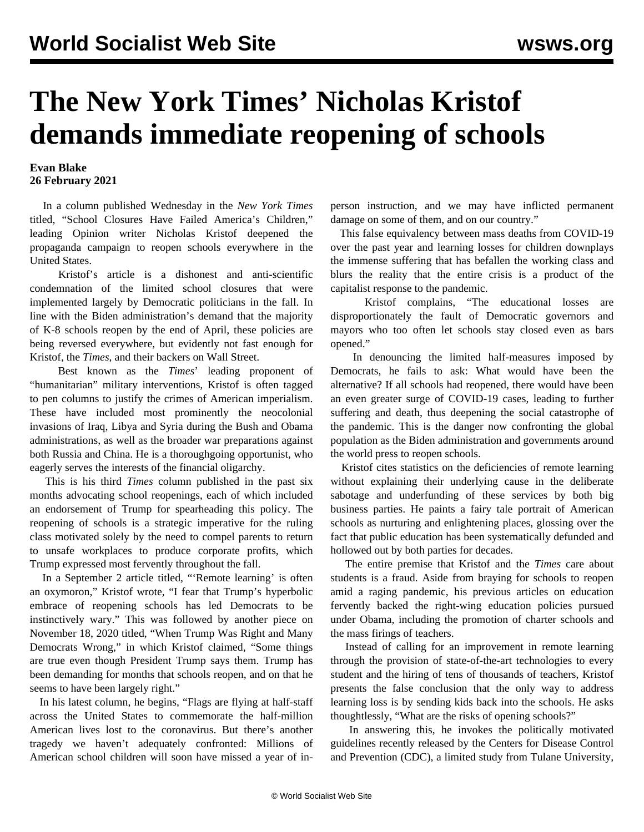## **The New York Times' Nicholas Kristof demands immediate reopening of schools**

## **Evan Blake 26 February 2021**

 In a column published Wednesday in the *New York Times* titled, "School Closures Have Failed America's Children," leading Opinion writer Nicholas Kristof deepened the propaganda campaign to reopen schools everywhere in the United States.

 Kristof's article is a dishonest and anti-scientific condemnation of the limited school closures that were implemented largely by Democratic politicians in the fall. In line with the Biden administration's demand that the majority of K-8 schools reopen by the end of April, these policies are being reversed everywhere, but evidently not fast enough for Kristof, the *Times*, and their backers on Wall Street.

 Best known as the *Times*' leading proponent of "humanitarian" military interventions, Kristof is often tagged to pen columns to justify the crimes of American imperialism. These have included most prominently the [neocolonial](/en/articles/2016/08/15/syri-a15.html) [invasions](/en/articles/2016/08/15/syri-a15.html) of Iraq, Libya and Syria during the Bush and Obama administrations, as well as the broader war preparations against both Russia and China. He is a thoroughgoing opportunist, who eagerly serves the interests of the financial oligarchy.

 This is his third *Times* column published in the past six months advocating school reopenings, each of which included an endorsement of Trump for spearheading this policy. The reopening of schools is a strategic imperative for the ruling class motivated solely by the need to compel parents to return to unsafe workplaces to produce corporate profits, which Trump expressed most fervently throughout the fall.

 In a September 2 article titled, "'Remote learning' is often an oxymoron," Kristof wrote, "I fear that Trump's hyperbolic embrace of reopening schools has led Democrats to be instinctively wary." This was followed by another piece on November 18, 2020 titled, "When Trump Was Right and Many Democrats Wrong," in which Kristof claimed, "Some things are true even though President Trump says them. Trump has been demanding for months that schools reopen, and on that he seems to have been largely right."

 In his latest column, he begins, "Flags are flying at half-staff across the United States to commemorate the half-million American lives lost to the coronavirus. But there's another tragedy we haven't adequately confronted: Millions of American school children will soon have missed a year of inperson instruction, and we may have inflicted permanent damage on some of them, and on our country."

 This false equivalency between mass deaths from COVID-19 over the past year and learning losses for children downplays the immense suffering that has befallen the working class and blurs the reality that the entire crisis is a product of the capitalist response to the pandemic.

 Kristof complains, "The educational losses are disproportionately the fault of Democratic governors and mayors who too often let schools stay closed even as bars opened."

 In denouncing the limited half-measures imposed by Democrats, he fails to ask: What would have been the alternative? If all schools had reopened, there would have been an even greater surge of COVID-19 cases, leading to further suffering and death, thus deepening the social catastrophe of the pandemic. This is the danger now confronting the global population as the Biden administration and governments around the world press to reopen schools.

 Kristof cites statistics on the deficiencies of remote learning without explaining their underlying cause in the [deliberate](/en/articles/2020/11/10/onl2-n10.html) [sabotage](/en/articles/2020/11/10/onl2-n10.html) and underfunding of these services by both big business parties. He paints a fairy tale portrait of American schools as nurturing and enlightening places, glossing over the fact that public education has been systematically defunded and hollowed out by both parties for decades.

 The entire premise that Kristof and the *Times* care about students is a fraud. Aside from braying for schools to reopen amid a raging pandemic, his previous articles on education fervently backed the right-wing education policies pursued under Obama, including the promotion of charter schools and the mass firings of teachers.

 Instead of calling for an improvement in remote learning through the provision of state-of-the-art technologies to every student and the hiring of tens of thousands of teachers, Kristof presents the false conclusion that the only way to address learning loss is by sending kids back into the schools. He asks thoughtlessly, "What are the risks of opening schools?"

 In answering this, he invokes the [politically](/en/articles/2021/02/15/scho-j01.html) motivated guidelines recently released by the Centers for Disease Control and Prevention (CDC), a [limited study](/en/articles/2021/01/21/scho-j21.html) from Tulane University,